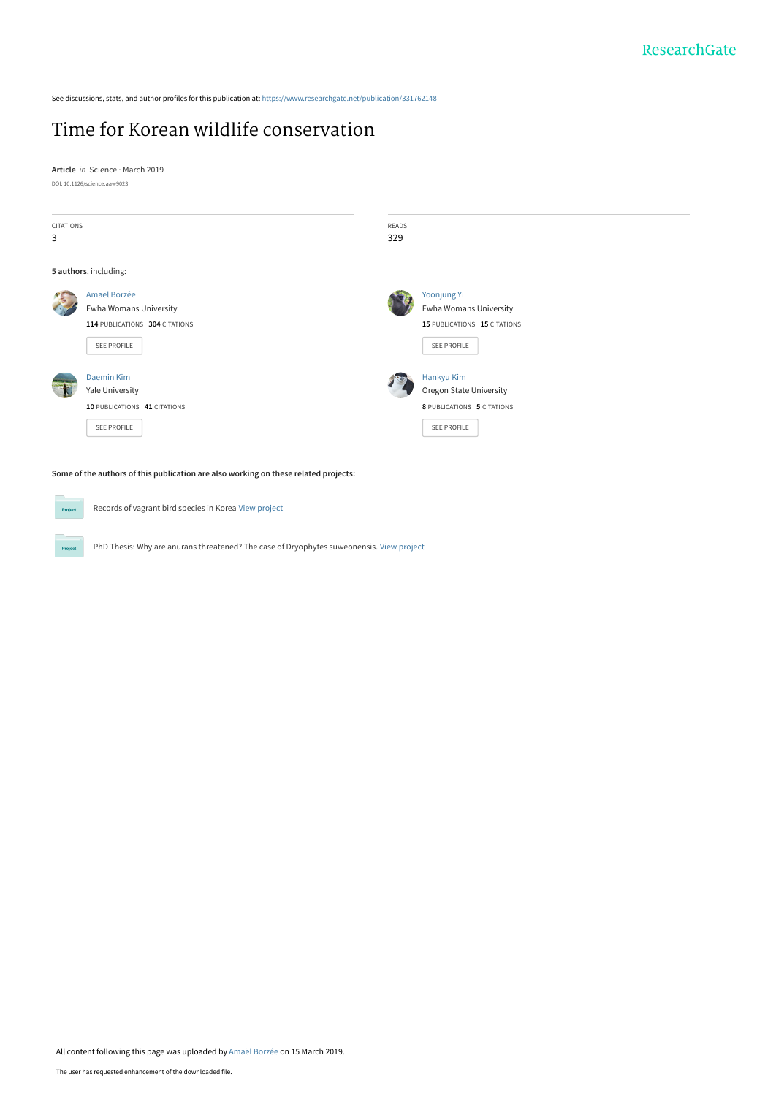See discussions, stats, and author profiles for this publication at: [https://www.researchgate.net/publication/331762148](https://www.researchgate.net/publication/331762148_Time_for_Korean_wildlife_conservation?enrichId=rgreq-a8f84a5ec174402241b862b8afc51faa-XXX&enrichSource=Y292ZXJQYWdlOzMzMTc2MjE0ODtBUzo3MzY1NDYyMjc1MDMxMDlAMTU1MjYxNzcxMzc5MA%3D%3D&el=1_x_2&_esc=publicationCoverPdf)

## [Time for Korean wildlife conservation](https://www.researchgate.net/publication/331762148_Time_for_Korean_wildlife_conservation?enrichId=rgreq-a8f84a5ec174402241b862b8afc51faa-XXX&enrichSource=Y292ZXJQYWdlOzMzMTc2MjE0ODtBUzo3MzY1NDYyMjc1MDMxMDlAMTU1MjYxNzcxMzc5MA%3D%3D&el=1_x_3&_esc=publicationCoverPdf)

**Article** in Science · March 2019 DOI: 10.1126/science.aaw9023



**Some of the authors of this publication are also working on these related projects:**

Records of vagrant bird species in Korea [View project](https://www.researchgate.net/project/Records-of-vagrant-bird-species-in-Korea?enrichId=rgreq-a8f84a5ec174402241b862b8afc51faa-XXX&enrichSource=Y292ZXJQYWdlOzMzMTc2MjE0ODtBUzo3MzY1NDYyMjc1MDMxMDlAMTU1MjYxNzcxMzc5MA%3D%3D&el=1_x_9&_esc=publicationCoverPdf)

Project

 $P_{\rm TC}$ 

PhD Thesis: Why are anurans threatened? The case of Dryophytes suweonensis. [View project](https://www.researchgate.net/project/PhD-Thesis-Why-are-anurans-threatened-The-case-of-Dryophytes-suweonensis?enrichId=rgreq-a8f84a5ec174402241b862b8afc51faa-XXX&enrichSource=Y292ZXJQYWdlOzMzMTc2MjE0ODtBUzo3MzY1NDYyMjc1MDMxMDlAMTU1MjYxNzcxMzc5MA%3D%3D&el=1_x_9&_esc=publicationCoverPdf)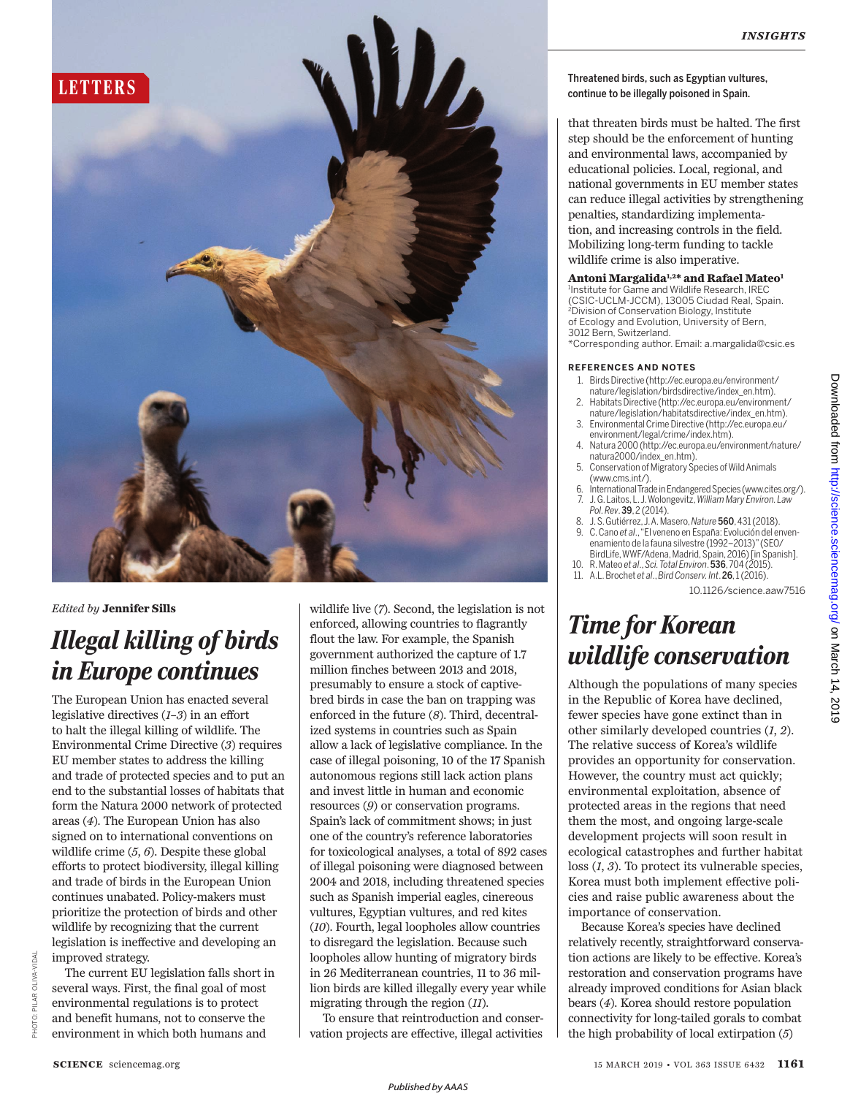

*Edited by* **Jennifer Sills**

# *Illegal killing of birds in Europe continues*

The European Union has enacted several legislative directives (*1*–*3*) in an effort to halt the illegal killing of wildlife. The Environmental Crime Directive (*3*) requires EU member states to address the killing and trade of protected species and to put an end to the substantial losses of habitats that form the Natura 2000 network of protected areas (*4*). The European Union has also signed on to international conventions on wildlife crime (*5*, *6*). Despite these global efforts to protect biodiversity, illegal killing and trade of birds in the European Union continues unabated. Policy-makers must prioritize the protection of birds and other wildlife by recognizing that the current legislation is ineffective and developing an improved strategy.

The current EU legislation falls short in several ways. First, the final goal of most environmental regulations is to protect and benefit humans, not to conserve the environment in which both humans and

wildlife live (*7*). Second, the legislation is not enforced, allowing countries to flagrantly flout the law. For example, the Spanish government authorized the capture of 1.7 million finches between 2013 and 2018, presumably to ensure a stock of captivebred birds in case the ban on trapping was enforced in the future (*8*). Third, decentralized systems in countries such as Spain allow a lack of legislative compliance. In the case of illegal poisoning, 10 of the 17 Spanish autonomous regions still lack action plans and invest little in human and economic resources (*9*) or conservation programs. Spain's lack of commitment shows; in just one of the country's reference laboratories for toxicological analyses, a total of 892 cases of illegal poisoning were diagnosed between 2004 and 2018, including threatened species such as Spanish imperial eagles, cinereous vultures, Egyptian vultures, and red kites (*10*). Fourth, legal loopholes allow countries to disregard the legislation. Because such loopholes allow hunting of migratory birds in 26 Mediterranean countries, 11 to 36 million birds are killed illegally every year while migrating through the region (*11*).

To ensure that reintroduction and conservation projects are effective, illegal activities

## Threatened birds, such as Egyptian vultures,

that threaten birds must be halted. The first step should be the enforcement of hunting and environmental laws, accompanied by educational policies. Local, regional, and national governments in EU member states can reduce illegal activities by strengthening penalties, standardizing implementation, and increasing controls in the field. Mobilizing long-term funding to tackle wildlife crime is also imperative.

### **Antoni Margalida1,2\* and Rafael Mateo 1**

1 Institute for Game and Wildlife Research, IREC (CSIC-UCLM-JCCM), 13005 Ciudad Real, Spain. <sup>2</sup>Division of Conservation Biology, Institute of Ecology and Evolution, University of Bern, 3012 Bern, Switzerland.

\*Corresponding author. Email: a.margalida@csic.es

### **REFERENCES AND NOTES**

- 1. Birds Directive (http://ec.europa.eu/environment/ nature/legislation/birdsdirective/index\_en.htm).
- 2. Habitats Directive (http://ec.europa.eu/environment/ nature/legislation/habitatsdirective/index\_en.htm).
- 3. Environmental Crime Directive (http://ec.europa.eu/ environment/legal/crime/index.htm).
- 4. Natura 2000 (http://ec.europa.eu/environment/nature/ natura2000/index\_en.htm).
- 5. Conservation of Migratory Species of Wild Animals (www.cms.int/).
- 6. InternationalTrade in Endangered Species (www.cites.org/). 7. J. G. Laitos, L.J. Wolongevitz, *WilliamMary Environ. Law Pol. Rev*. 39, 2 (2014).
- 8. J. S.Gutiérrez,J.A. Masero,*Nature* 560, 431 (2018). 9. C. Cano *et al*.,"El veneno en España: Evolución del enven-
- enamiento de la fauna silvestre (1992–2013)"(SEO/ BirdLife, WWF/Adena, Madrid, Spain, 2016) [in Spanish].
- 10. R. Mateo *et al*., *Sci. Total Environ*. 536, 704 (2015). 11. A.L. Brochet *et al*., *Bird Conserv. Int*. 26, 1(2016).

10.1126/science.aaw7516

## *Time for Korean wildlife conservation*

Although the populations of many species in the Republic of Korea have declined, fewer species have gone extinct than in other similarly developed countries (*1*, *2*). The relative success of Korea's wildlife provides an opportunity for conservation. However, the country must act quickly; environmental exploitation, absence of protected areas in the regions that need them the most, and ongoing large-scale development projects will soon result in ecological catastrophes and further habitat loss (*1*, *3*). To protect its vulnerable species, Korea must both implement effective policies and raise public awareness about the importance of conservation.

Because Korea's species have declined relatively recently, straightforward conservation actions are likely to be effective. Korea's restoration and conservation programs have already improved conditions for Asian black bears (*4*). Korea should restore population connectivity for long-tailed gorals to combat the high probability of local extirpation (*5*)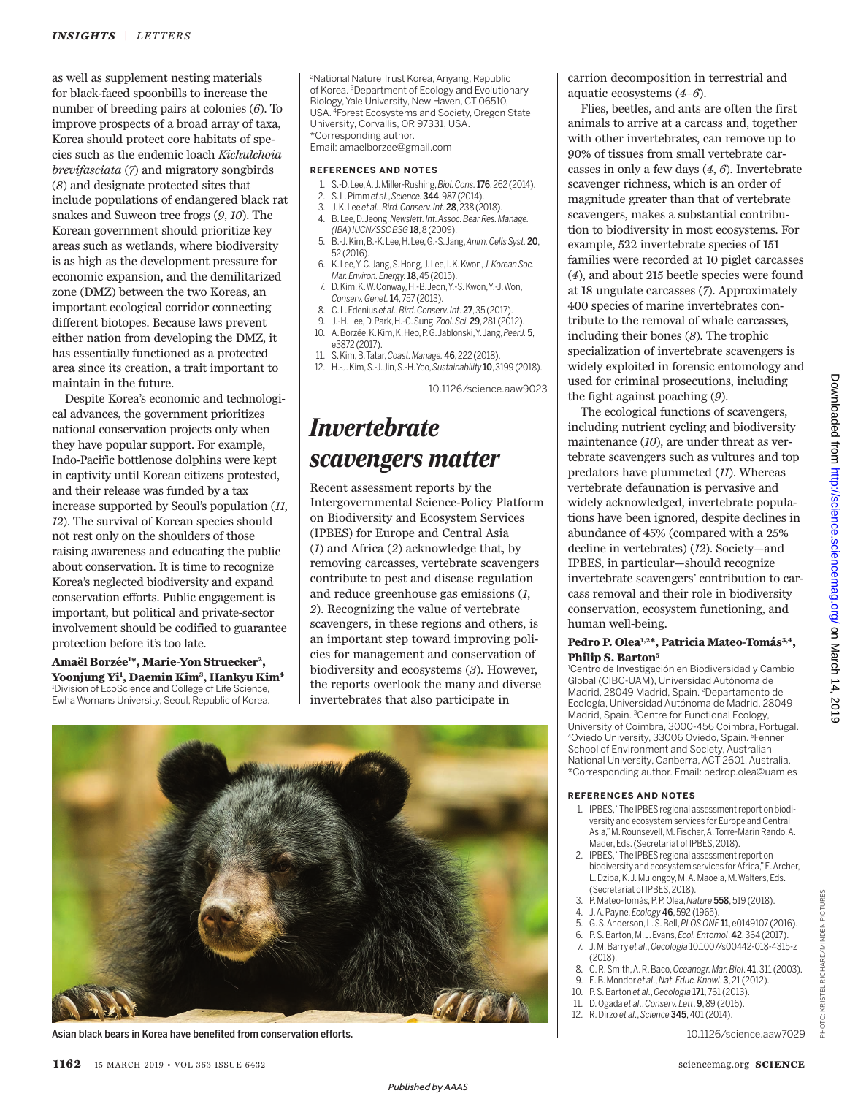as well as supplement nesting materials for black-faced spoonbills to increase the number of breeding pairs at colonies (*6*). To improve prospects of a broad array of taxa, Korea should protect core habitats of species such as the endemic loach *Kichulchoia brevifasciata* (*7*) and migratory songbirds (*8*) and designate protected sites that include populations of endangered black rat snakes and Suweon tree frogs (*9*, *10*). The Korean government should prioritize key areas such as wetlands, where biodiversity is as high as the development pressure for economic expansion, and the demilitarized zone (DMZ) between the two Koreas, an important ecological corridor connecting different biotopes. Because laws prevent either nation from developing the DMZ, it has essentially functioned as a protected area since its creation, a trait important to maintain in the future.

Despite Korea's economic and technological advances, the government prioritizes national conservation projects only when they have popular support. For example, Indo-Pacific bottlenose dolphins were kept in captivity until Korean citizens protested, and their release was funded by a tax increase supported by Seoul's population (*11*, *12*). The survival of Korean species should not rest only on the shoulders of those raising awareness and educating the public about conservation. It is time to recognize Korea's neglected biodiversity and expand conservation efforts. Public engagement is important, but political and private-sector involvement should be codified to guarantee protection before it's too late.

**Amaël Borzée<sup>1</sup> \*, Marie-Yon Struecker 2 , Yoonjung Yi 1 , Daemin Kim<sup>3</sup> , Hankyu Kim<sup>4</sup>** <sup>1</sup>Division of EcoScience and College of Life Science, Ewha Womans University, Seoul, Republic of Korea.

<sup>2</sup>National Nature Trust Korea, Anyang, Republic of Korea. <sup>3</sup>Department of Ecology and Evolutionary Biology, Yale University, New Haven, CT 06510, USA. <sup>4</sup>Forest Ecosystems and Society, Oregon State University, Corvallis, OR 97331, USA. \*Corresponding author. Email: amaelborzee@gmail.com

#### **REFERENCES AND NOTES**

- 1. S.-D.Lee,A. J.Miller-Rushing,*Biol. Cons.*176,262 (2014).
- 2. S. L. Pimm *et al.*, *Science.*344, 987 (2014).
- 3. J. K.Lee *et al.*, *Bird. Conserv. Int.*28,238 (2018).
- 4. B. Lee, D.Jeong,*Newslett. Int.Assoc. Bear Res. Manage.*
- *(IBA)IUCN/SSC BSG* 18,8 (2009). 5. B.-J.Kim, B.-K. Lee, H. Lee,G.-S. Jang, *Anim. Cells Syst.*20,
- 52 (2016). 6. K.Lee,Y. C. Jang, S. Hong, J. Lee, I.K. Kwon, *J. Korean Soc.*
- *Mar.Environ. Energy.*18, 45 (2015). 7. D.Kim, K. W.Conway, H.-B. Jeon,Y.-S. Kwon, Y.-J. Won,
- *Conserv. Genet.*14, 757 (2013). 8. C. L. Edenius *et al*., *Bird. Conserv. Int.*27,35 (2017).
- 9. J.-H.Lee, D. Park,H.-C. Sung, *Zool. Sci.*29,281 (2012).
- 10. A.Borzée, K. Kim, K.Heo, P. G.Jablonski, Y. Jang,*PeerJ.*5, e3872 (2017).
- 11. S. Kim,B. Tatar,*Coast. Manage.* 46, 222 (2018).
- 12. H.-J.Kim,S.-J.Jin,S.-H. Yoo,*Sustainability* 10,3199 (2018).

10.1126/science.aaw9023

## *Invertebrate scavengers matter*

Recent assessment reports by the Intergovernmental Science-Policy Platform on Biodiversity and Ecosystem Services (IPBES) for Europe and Central Asia (*1*) and Africa (*2*) acknowledge that, by removing carcasses, vertebrate scavengers contribute to pest and disease regulation and reduce greenhouse gas emissions (*1*, *2*). Recognizing the value of vertebrate scavengers, in these regions and others, is an important step toward improving policies for management and conservation of biodiversity and ecosystems (*3*). However, the reports overlook the many and diverse invertebrates that also participate in



Asian black bears in Korea have benefited from conservation efforts. 10.1126/science.aaw7029

carrion decomposition in terrestrial and aquatic ecosystems (*4*–*6*).

Flies, beetles, and ants are often the first animals to arrive at a carcass and, together with other invertebrates, can remove up to 90% of tissues from small vertebrate carcasses in only a few days (*4*, *6*). Invertebrate scavenger richness, which is an order of magnitude greater than that of vertebrate scavengers, makes a substantial contribution to biodiversity in most ecosystems. For example, 522 invertebrate species of 151 families were recorded at 10 piglet carcasses (*4*), and about 215 beetle species were found at 18 ungulate carcasses (*7*). Approximately 400 species of marine invertebrates contribute to the removal of whale carcasses, including their bones (*8*). The trophic specialization of invertebrate scavengers is widely exploited in forensic entomology and used for criminal prosecutions, including the fight against poaching (*9*).

The ecological functions of scavengers, including nutrient cycling and biodiversity maintenance (*10*), are under threat as vertebrate scavengers such as vultures and top predators have plummeted (*11*). Whereas vertebrate defaunation is pervasive and widely acknowledged, invertebrate populations have been ignored, despite declines in abundance of 45% (compared with a 25% decline in vertebrates) (*12*). Society—and IPBES, in particular—should recognize invertebrate scavengers' contribution to carcass removal and their role in biodiversity conservation, ecosystem functioning, and human well-being.

### **Pedro P. Olea1,2\*, Patricia Mateo-Tomás3,4 , Philip S. Barton<sup>5</sup>**

<sup>1</sup>Centro de Investigación en Biodiversidad y Cambio Global (CIBC-UAM), Universidad Autónoma de Madrid, 28049 Madrid, Spain. <sup>2</sup>Departamento de Ecología, Universidad Autónoma de Madrid, 28049 Madrid, Spain. <sup>3</sup>Centre for Functional Ecology, University of Coimbra, 3000-456 Coimbra, Portugal. <sup>4</sup>Oviedo University, 33006 Oviedo, Spain. <sup>5</sup>Fenner School of Environment and Society, Australian National University, Canberra, ACT 2601, Australia. \*Corresponding author. Email: pedrop.olea@uam.es

#### **REFERENCES AND NOTES**

- 1. IPBES, "The IPBES regional assessment report on biodiversity and ecosystem services for Europe and Central Asia," M.Rounsevell, M. Fischer,A.Torre-Marin Rando,A. Mader, Eds.(Secretariat of IPBES, 2018).
- 2. IPBES, "The IPBES regional assessment report on biodiversity and ecosystem services for Africa," E. Archer, L. Dziba, K. J. Mulongoy, M. A. Maoela, M. Walters, Eds.<br>(Secretariat of IPBES, 2018).
- 3. P. Mateo-Tomás, P. P.Olea, *Nature* 558, 519 (2018).
- 4. J. A.Payne, *Ecology* 46, 592 (1965).
- 5. G. S.Anderson, L. S. Bell,*PLOS ONE* 11, e0149107 (2016).
- 6. P. S. Barton, M.J. Evans, *Ecol. Entomol*. 42, 364 (2017).
- 7. J. M. Barry *et al*., *Oecologia* 10.1007/s00442-018-4315-z  $(2018)$
- 8. C. R. Smith, A. R. Baco, *Oceanogr. Mar.Biol*. 41,311 (2003).
- 9. E. B.Mondor *et al*., *Nat. Educ.Knowl*. 3, 21 (2012).
- 10. P. S. Barton *et al*., *Oecologia* 171, 761 (2013).
- 11. D. Ogada *et al*., *Conserv. Lett*. 9, 89 (2016).
- 12. R. Dirzo *et al*., *Science* 345, 401(2014).

PHOTO: KRISTEL RICHARD/MINDEN PICTURES

KRISTEL RICHARD/MINDEN PICTURES